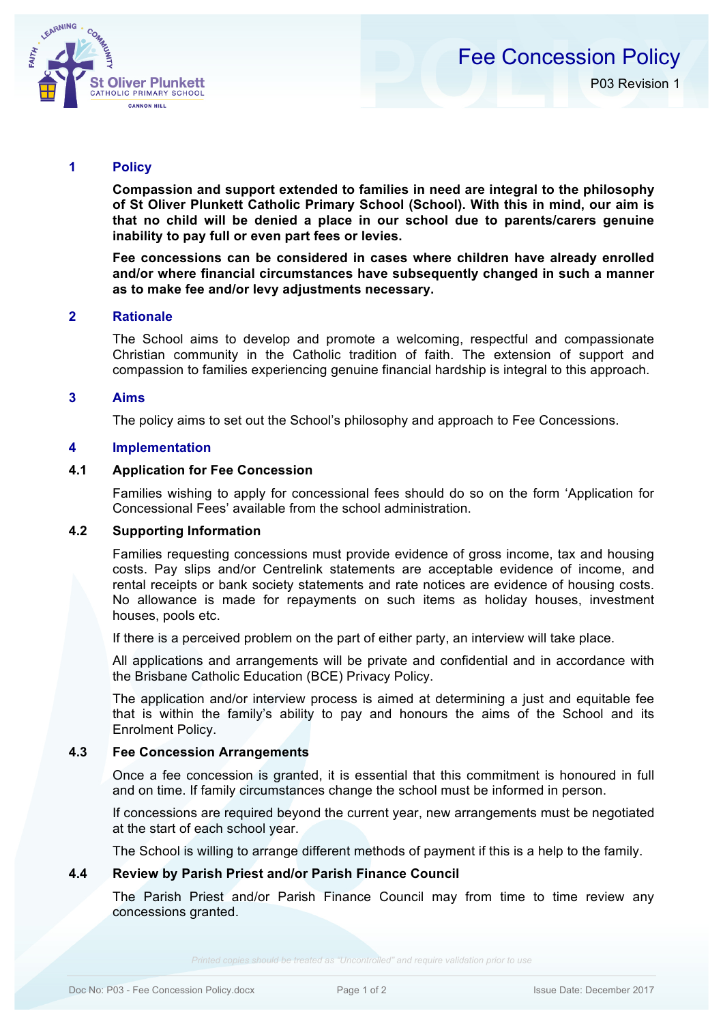

# Fee Concession Policy P03 Revision 1

# **1 Policy**

**Compassion and support extended to families in need are integral to the philosophy of St Oliver Plunkett Catholic Primary School (School). With this in mind, our aim is that no child will be denied a place in our school due to parents/carers genuine inability to pay full or even part fees or levies.** 

**Fee concessions can be considered in cases where children have already enrolled and/or where financial circumstances have subsequently changed in such a manner as to make fee and/or levy adjustments necessary.**

#### **2 Rationale**

The School aims to develop and promote a welcoming, respectful and compassionate Christian community in the Catholic tradition of faith. The extension of support and compassion to families experiencing genuine financial hardship is integral to this approach.

#### **3 Aims**

The policy aims to set out the School's philosophy and approach to Fee Concessions.

#### **4 Implementation**

#### **4.1 Application for Fee Concession**

Families wishing to apply for concessional fees should do so on the form 'Application for Concessional Fees' available from the school administration.

#### **4.2 Supporting Information**

Families requesting concessions must provide evidence of gross income, tax and housing costs. Pay slips and/or Centrelink statements are acceptable evidence of income, and rental receipts or bank society statements and rate notices are evidence of housing costs. No allowance is made for repayments on such items as holiday houses, investment houses, pools etc.

If there is a perceived problem on the part of either party, an interview will take place.

All applications and arrangements will be private and confidential and in accordance with the Brisbane Catholic Education (BCE) Privacy Policy.

The application and/or interview process is aimed at determining a just and equitable fee that is within the family's ability to pay and honours the aims of the School and its Enrolment Policy.

#### **4.3 Fee Concession Arrangements**

Once a fee concession is granted, it is essential that this commitment is honoured in full and on time. If family circumstances change the school must be informed in person.

If concessions are required beyond the current year, new arrangements must be negotiated at the start of each school year.

The School is willing to arrange different methods of payment if this is a help to the family.

#### **4.4 Review by Parish Priest and/or Parish Finance Council**

The Parish Priest and/or Parish Finance Council may from time to time review any concessions granted.

*Printed copies should be treated as "Uncontrolled" and require validation prior to use*